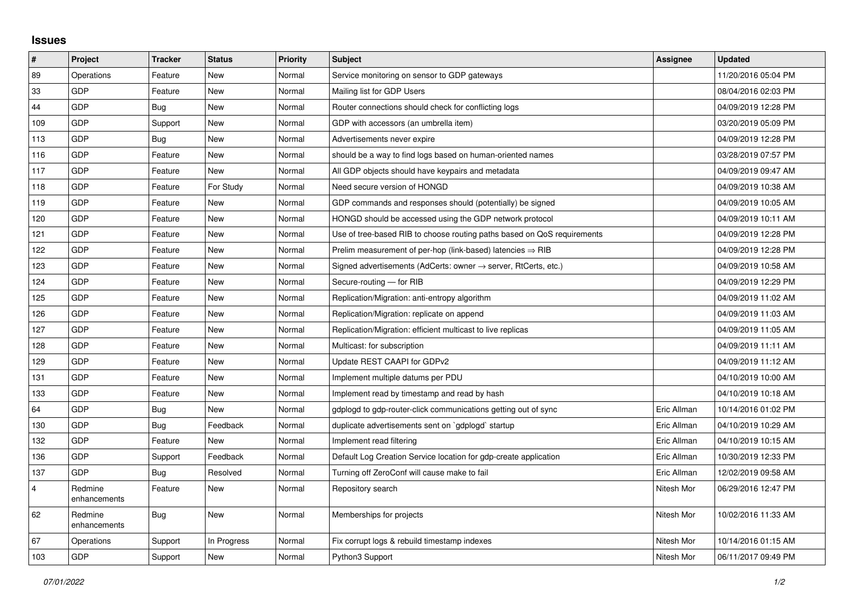## **Issues**

| $\sharp$       | Project                 | <b>Tracker</b> | <b>Status</b> | <b>Priority</b> | <b>Subject</b>                                                             | Assignee    | <b>Updated</b>      |
|----------------|-------------------------|----------------|---------------|-----------------|----------------------------------------------------------------------------|-------------|---------------------|
| 89             | Operations              | Feature        | <b>New</b>    | Normal          | Service monitoring on sensor to GDP gateways                               |             | 11/20/2016 05:04 PM |
| 33             | <b>GDP</b>              | Feature        | <b>New</b>    | Normal          | Mailing list for GDP Users                                                 |             | 08/04/2016 02:03 PM |
| 44             | GDP                     | Bug            | <b>New</b>    | Normal          | Router connections should check for conflicting logs                       |             | 04/09/2019 12:28 PM |
| 109            | GDP                     | Support        | <b>New</b>    | Normal          | GDP with accessors (an umbrella item)                                      |             | 03/20/2019 05:09 PM |
| 113            | <b>GDP</b>              | Bug            | <b>New</b>    | Normal          | Advertisements never expire                                                |             | 04/09/2019 12:28 PM |
| 116            | GDP                     | Feature        | <b>New</b>    | Normal          | should be a way to find logs based on human-oriented names                 |             | 03/28/2019 07:57 PM |
| 117            | GDP                     | Feature        | <b>New</b>    | Normal          | All GDP objects should have keypairs and metadata                          |             | 04/09/2019 09:47 AM |
| 118            | <b>GDP</b>              | Feature        | For Study     | Normal          | Need secure version of HONGD                                               |             | 04/09/2019 10:38 AM |
| 119            | GDP                     | Feature        | <b>New</b>    | Normal          | GDP commands and responses should (potentially) be signed                  |             | 04/09/2019 10:05 AM |
| 120            | GDP                     | Feature        | <b>New</b>    | Normal          | HONGD should be accessed using the GDP network protocol                    |             | 04/09/2019 10:11 AM |
| 121            | <b>GDP</b>              | Feature        | <b>New</b>    | Normal          | Use of tree-based RIB to choose routing paths based on QoS requirements    |             | 04/09/2019 12:28 PM |
| 122            | GDP                     | Feature        | <b>New</b>    | Normal          | Prelim measurement of per-hop (link-based) latencies $\Rightarrow$ RIB     |             | 04/09/2019 12:28 PM |
| 123            | <b>GDP</b>              | Feature        | <b>New</b>    | Normal          | Signed advertisements (AdCerts: owner $\rightarrow$ server, RtCerts, etc.) |             | 04/09/2019 10:58 AM |
| 124            | <b>GDP</b>              | Feature        | <b>New</b>    | Normal          | Secure-routing - for RIB                                                   |             | 04/09/2019 12:29 PM |
| 125            | GDP                     | Feature        | <b>New</b>    | Normal          | Replication/Migration: anti-entropy algorithm                              |             | 04/09/2019 11:02 AM |
| 126            | <b>GDP</b>              | Feature        | <b>New</b>    | Normal          | Replication/Migration: replicate on append                                 |             | 04/09/2019 11:03 AM |
| 127            | <b>GDP</b>              | Feature        | <b>New</b>    | Normal          | Replication/Migration: efficient multicast to live replicas                |             | 04/09/2019 11:05 AM |
| 128            | GDP                     | Feature        | <b>New</b>    | Normal          | Multicast: for subscription                                                |             | 04/09/2019 11:11 AM |
| 129            | <b>GDP</b>              | Feature        | <b>New</b>    | Normal          | Update REST CAAPI for GDPv2                                                |             | 04/09/2019 11:12 AM |
| 131            | GDP                     | Feature        | <b>New</b>    | Normal          | Implement multiple datums per PDU                                          |             | 04/10/2019 10:00 AM |
| 133            | GDP                     | Feature        | <b>New</b>    | Normal          | Implement read by timestamp and read by hash                               |             | 04/10/2019 10:18 AM |
| 64             | GDP                     | Bug            | <b>New</b>    | Normal          | gdplogd to gdp-router-click communications getting out of sync             | Eric Allman | 10/14/2016 01:02 PM |
| 130            | <b>GDP</b>              | <b>Bug</b>     | Feedback      | Normal          | duplicate advertisements sent on `gdplogd` startup                         | Eric Allman | 04/10/2019 10:29 AM |
| 132            | GDP                     | Feature        | <b>New</b>    | Normal          | Implement read filtering                                                   | Eric Allman | 04/10/2019 10:15 AM |
| 136            | <b>GDP</b>              | Support        | Feedback      | Normal          | Default Log Creation Service location for gdp-create application           | Eric Allman | 10/30/2019 12:33 PM |
| 137            | <b>GDP</b>              | Bug            | Resolved      | Normal          | Turning off ZeroConf will cause make to fail                               | Eric Allman | 12/02/2019 09:58 AM |
| $\overline{4}$ | Redmine<br>enhancements | Feature        | <b>New</b>    | Normal          | Repository search                                                          | Nitesh Mor  | 06/29/2016 12:47 PM |
| 62             | Redmine<br>enhancements | Bug            | <b>New</b>    | Normal          | Memberships for projects                                                   | Nitesh Mor  | 10/02/2016 11:33 AM |
| 67             | Operations              | Support        | In Progress   | Normal          | Fix corrupt logs & rebuild timestamp indexes                               | Nitesh Mor  | 10/14/2016 01:15 AM |
| 103            | GDP                     | Support        | New           | Normal          | Python3 Support                                                            | Nitesh Mor  | 06/11/2017 09:49 PM |